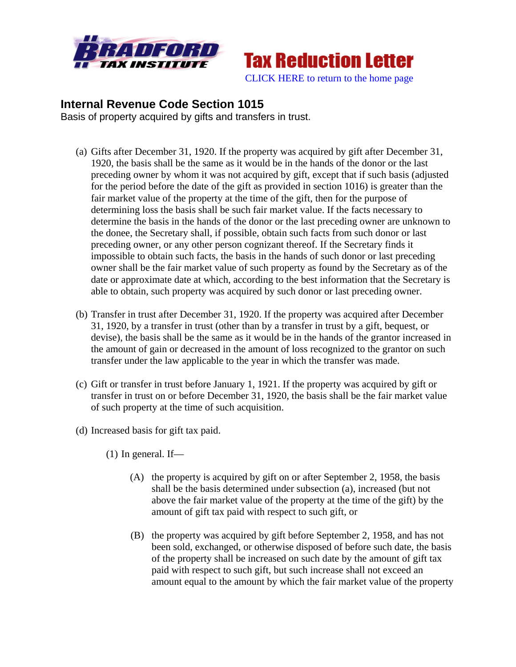



## **Internal Revenue Code Section 1015**

Basis of property acquired by gifts and transfers in trust.

- (a) Gifts after December 31, 1920. If the property was acquired by gift after December 31, 1920, the basis shall be the same as it would be in the hands of the donor or the last preceding owner by whom it was not acquired by gift, except that if such basis (adjusted for the period before the date of the gift as provided in section 1016) is greater than the fair market value of the property at the time of the gift, then for the purpose of determining loss the basis shall be such fair market value. If the facts necessary to determine the basis in the hands of the donor or the last preceding owner are unknown to the donee, the Secretary shall, if possible, obtain such facts from such donor or last preceding owner, or any other person cognizant thereof. If the Secretary finds it impossible to obtain such facts, the basis in the hands of such donor or last preceding owner shall be the fair market value of such property as found by the Secretary as of the date or approximate date at which, according to the best information that the Secretary is able to obtain, such property was acquired by such donor or last preceding owner.
- (b) Transfer in trust after December 31, 1920. If the property was acquired after December 31, 1920, by a transfer in trust (other than by a transfer in trust by a gift, bequest, or devise), the basis shall be the same as it would be in the hands of the grantor increased in the amount of gain or decreased in the amount of loss recognized to the grantor on such transfer under the law applicable to the year in which the transfer was made.
- (c) Gift or transfer in trust before January 1, 1921. If the property was acquired by gift or transfer in trust on or before December 31, 1920, the basis shall be the fair market value of such property at the time of such acquisition.
- (d) Increased basis for gift tax paid.
	- $(1)$  In general. If—
		- (A) the property is acquired by gift on or after September 2, 1958, the basis shall be the basis determined under subsection (a), increased (but not above the fair market value of the property at the time of the gift) by the amount of gift tax paid with respect to such gift, or
		- (B) the property was acquired by gift before September 2, 1958, and has not been sold, exchanged, or otherwise disposed of before such date, the basis of the property shall be increased on such date by the amount of gift tax paid with respect to such gift, but such increase shall not exceed an amount equal to the amount by which the fair market value of the property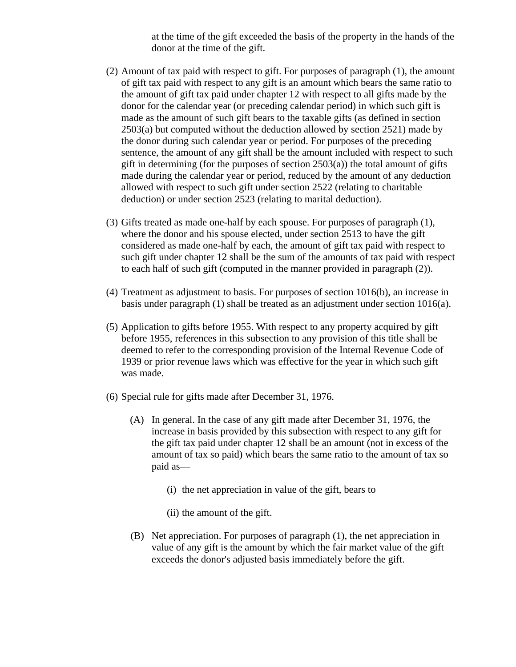at the time of the gift exceeded the basis of the property in the hands of the donor at the time of the gift.

- (2) Amount of tax paid with respect to gift. For purposes of paragraph (1), the amount of gift tax paid with respect to any gift is an amount which bears the same ratio to the amount of gift tax paid under chapter 12 with respect to all gifts made by the donor for the calendar year (or preceding calendar period) in which such gift is made as the amount of such gift bears to the taxable gifts (as defined in section 2503(a) but computed without the deduction allowed by section 2521) made by the donor during such calendar year or period. For purposes of the preceding sentence, the amount of any gift shall be the amount included with respect to such gift in determining (for the purposes of section  $2503(a)$ ) the total amount of gifts made during the calendar year or period, reduced by the amount of any deduction allowed with respect to such gift under section 2522 (relating to charitable deduction) or under section 2523 (relating to marital deduction).
- (3) Gifts treated as made one-half by each spouse. For purposes of paragraph (1), where the donor and his spouse elected, under section 2513 to have the gift considered as made one-half by each, the amount of gift tax paid with respect to such gift under chapter 12 shall be the sum of the amounts of tax paid with respect to each half of such gift (computed in the manner provided in paragraph (2)).
- (4) Treatment as adjustment to basis. For purposes of section 1016(b), an increase in basis under paragraph (1) shall be treated as an adjustment under section 1016(a).
- (5) Application to gifts before 1955. With respect to any property acquired by gift before 1955, references in this subsection to any provision of this title shall be deemed to refer to the corresponding provision of the Internal Revenue Code of 1939 or prior revenue laws which was effective for the year in which such gift was made.
- (6) Special rule for gifts made after December 31, 1976.
	- (A) In general. In the case of any gift made after December 31, 1976, the increase in basis provided by this subsection with respect to any gift for the gift tax paid under chapter 12 shall be an amount (not in excess of the amount of tax so paid) which bears the same ratio to the amount of tax so paid as—
		- (i) the net appreciation in value of the gift, bears to
		- (ii) the amount of the gift.
	- (B) Net appreciation. For purposes of paragraph (1), the net appreciation in value of any gift is the amount by which the fair market value of the gift exceeds the donor's adjusted basis immediately before the gift.